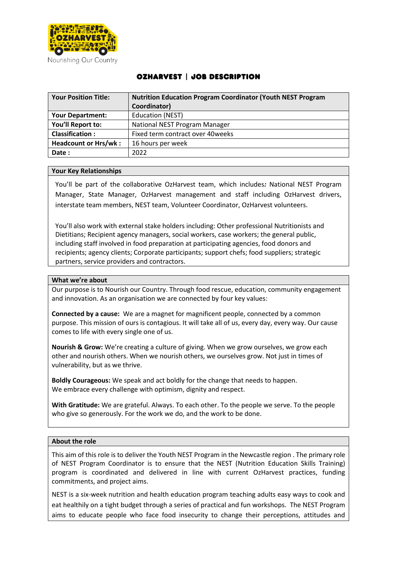

# OzHarvest | Job Description

| <b>Your Position Title:</b> | <b>Nutrition Education Program Coordinator (Youth NEST Program</b> |
|-----------------------------|--------------------------------------------------------------------|
|                             | Coordinator)                                                       |
| <b>Your Department:</b>     | <b>Education (NEST)</b>                                            |
| You'll Report to:           | National NEST Program Manager                                      |
| <b>Classification:</b>      | Fixed term contract over 40weeks                                   |
| <b>Headcount or Hrs/wk:</b> | 16 hours per week                                                  |
| Date:                       | 2022                                                               |

## **Your Key Relationships**

You'll be part of the collaborative OzHarvest team, which includes*:* National NEST Program Manager, State Manager, OzHarvest management and staff including OzHarvest drivers, interstate team members, NEST team, Volunteer Coordinator, OzHarvest volunteers.

You'll also work with external stake holders including: Other professional Nutritionists and Dietitians; Recipient agency managers, social workers, case workers; the general public, including staff involved in food preparation at participating agencies, food donors and recipients; agency clients; Corporate participants; support chefs; food suppliers; strategic partners, service providers and contractors.

## **What we're about**

Our purpose is to Nourish our Country. Through food rescue, education, community engagement and innovation. As an organisation we are connected by four key values:

**Connected by a cause:** We are a magnet for magnificent people, connected by a common purpose. This mission of ours is contagious. It will take all of us, every day, every way. Our cause comes to life with every single one of us.

**Nourish & Grow:** We're creating a culture of giving. When we grow ourselves, we grow each other and nourish others. When we nourish others, we ourselves grow. Not just in times of vulnerability, but as we thrive.

**Boldly Courageous:** We speak and act boldly for the change that needs to happen. We embrace every challenge with optimism, dignity and respect.

**With Gratitude:** We are grateful. Always. To each other. To the people we serve. To the people who give so generously. For the work we do, and the work to be done.

## **About the role**

This aim of this role is to deliver the Youth NEST Program in the Newcastle region . The primary role of NEST Program Coordinator is to ensure that the NEST (Nutrition Education Skills Training) program is coordinated and delivered in line with current OzHarvest practices, funding commitments, and project aims.

NEST is a six-week nutrition and health education program teaching adults easy ways to cook and eat healthily on a tight budget through a series of practical and fun workshops. The NEST Program aims to educate people who face food insecurity to change their perceptions, attitudes and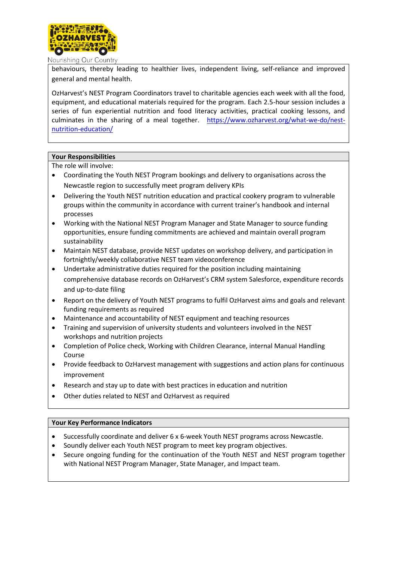

Nourishing Our Country

behaviours, thereby leading to healthier lives, independent living, self-reliance and improved general and mental health.

OzHarvest's NEST Program Coordinators travel to charitable agencies each week with all the food, equipment, and educational materials required for the program. Each 2.5-hour session includes a series of fun experiential nutrition and food literacy activities, practical cooking lessons, and culminates in the sharing of a meal together. [https://www.ozharvest.org/what-we-do/nest](https://www.ozharvest.org/what-we-do/nest-nutrition-education/)[nutrition-education/](https://www.ozharvest.org/what-we-do/nest-nutrition-education/)

# **Your Responsibilities**

The role will involve:

- Coordinating the Youth NEST Program bookings and delivery to organisations across the Newcastle region to successfully meet program delivery KPIs
- Delivering the Youth NEST nutrition education and practical cookery program to vulnerable groups within the community in accordance with current trainer's handbook and internal processes
- Working with the National NEST Program Manager and State Manager to source funding opportunities, ensure funding commitments are achieved and maintain overall program sustainability
- Maintain NEST database, provide NEST updates on workshop delivery, and participation in fortnightly/weekly collaborative NEST team videoconference
- Undertake administrative duties required for the position including maintaining comprehensive database records on OzHarvest's CRM system Salesforce, expenditure records and up-to-date filing
- Report on the delivery of Youth NEST programs to fulfil OzHarvest aims and goals and relevant funding requirements as required
- Maintenance and accountability of NEST equipment and teaching resources
- Training and supervision of university students and volunteers involved in the NEST workshops and nutrition projects
- Completion of Police check, Working with Children Clearance, internal Manual Handling Course
- Provide feedback to OzHarvest management with suggestions and action plans for continuous improvement
- Research and stay up to date with best practices in education and nutrition
- Other duties related to NEST and OzHarvest as required

## **Your Key Performance Indicators**

- Successfully coordinate and deliver 6 x 6-week Youth NEST programs across Newcastle.
- Soundly deliver each Youth NEST program to meet key program objectives.
- Secure ongoing funding for the continuation of the Youth NEST and NEST program together with National NEST Program Manager, State Manager, and Impact team.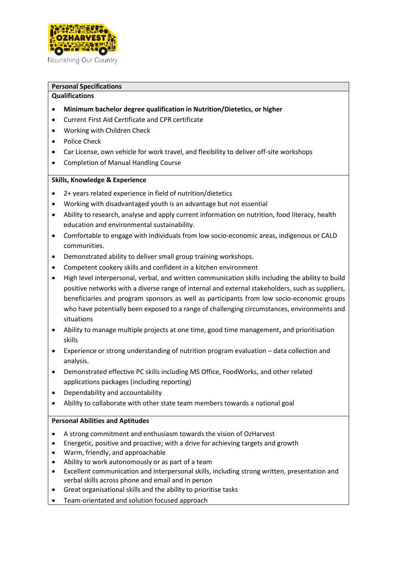

Nourishing Our Country

# **Personal Specifications**

# **Qualifications**

- **Minimum bachelor degree qualification in Nutrition/Dietetics, or higher**
- Current First Aid Certificate and CPR certificate
- Working with Children Check
- Police Check
- Car License, own vehicle for work travel, and flexibility to deliver off-site workshops
- Completion of Manual Handling Course

# **Skills, Knowledge & Experience**

- 2+ years related experience in field of nutrition/dietetics
- Working with disadvantaged youth is an advantage but not essential
- Ability to research, analyse and apply current information on nutrition, food literacy, health education and environmental sustainability.
- Comfortable to engage with individuals from low socio-economic areas, indigenous or CALD communities.
- Demonstrated ability to deliver small group training workshops.
- Competent cookery skills and confident in a kitchen environment
- High level interpersonal, verbal, and written communication skills including the ability to build positive networks with a diverse range of internal and external stakeholders, such as suppliers, beneficiaries and program sponsors as well as participants from low socio-economic groups who have potentially been exposed to a range of challenging circumstances, environments and situations
- Ability to manage multiple projects at one time, good time management, and prioritisation skills
- Experience or strong understanding of nutrition program evaluation data collection and analysis.
- Demonstrated effective PC skills including MS Office, FoodWorks, and other related applications packages (including reporting)
- Dependability and accountability
- Ability to collaborate with other state team members towards a national goal

# **Personal Abilities and Aptitudes**

- A strong commitment and enthusiasm towards the vision of OzHarvest
- Energetic, positive and proactive; with a drive for achieving targets and growth
- Warm, friendly, and approachable
- Ability to work autonomously or as part of a team
- Excellent communication and interpersonal skills, including strong written, presentation and verbal skills across phone and email and in person
- Great organisational skills and the ability to prioritise tasks
- Team-orientated and solution focused approach